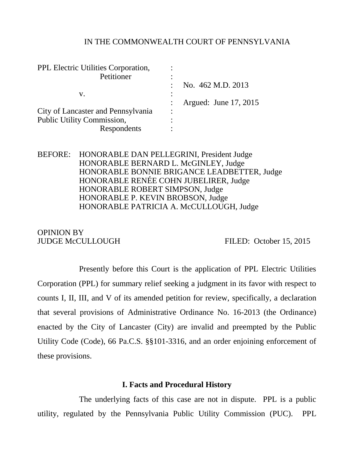#### IN THE COMMONWEALTH COURT OF PENNSYLVANIA

| PPL Electric Utilities Corporation, |           |                       |
|-------------------------------------|-----------|-----------------------|
| Petitioner                          |           |                       |
|                                     |           | No. 462 M.D. 2013     |
| V.                                  |           |                       |
|                                     |           | Argued: June 17, 2015 |
| City of Lancaster and Pennsylvania  | $\bullet$ |                       |
| Public Utility Commission,          |           |                       |
| Respondents                         |           |                       |

## BEFORE: HONORABLE DAN PELLEGRINI, President Judge HONORABLE BERNARD L. McGINLEY, Judge HONORABLE BONNIE BRIGANCE LEADBETTER, Judge HONORABLE RENÉE COHN JUBELIRER, Judge HONORABLE ROBERT SIMPSON, Judge HONORABLE P. KEVIN BROBSON, Judge HONORABLE PATRICIA A. McCULLOUGH, Judge

# OPINION BY

JUDGE McCULLOUGH FILED: October 15, 2015

Presently before this Court is the application of PPL Electric Utilities Corporation (PPL) for summary relief seeking a judgment in its favor with respect to counts I, II, III, and V of its amended petition for review, specifically, a declaration that several provisions of Administrative Ordinance No. 16-2013 (the Ordinance) enacted by the City of Lancaster (City) are invalid and preempted by the Public Utility Code (Code), 66 Pa.C.S. §§101-3316, and an order enjoining enforcement of these provisions.

#### **I. Facts and Procedural History**

The underlying facts of this case are not in dispute. PPL is a public utility, regulated by the Pennsylvania Public Utility Commission (PUC). PPL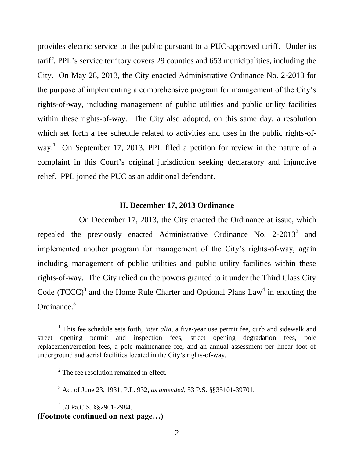provides electric service to the public pursuant to a PUC-approved tariff. Under its tariff, PPL's service territory covers 29 counties and 653 municipalities, including the City. On May 28, 2013, the City enacted Administrative Ordinance No. 2-2013 for the purpose of implementing a comprehensive program for management of the City's rights-of-way, including management of public utilities and public utility facilities within these rights-of-way. The City also adopted, on this same day, a resolution which set forth a fee schedule related to activities and uses in the public rights-ofway.<sup>1</sup> On September 17, 2013, PPL filed a petition for review in the nature of a complaint in this Court's original jurisdiction seeking declaratory and injunctive relief. PPL joined the PUC as an additional defendant.

#### **II. December 17, 2013 Ordinance**

On December 17, 2013, the City enacted the Ordinance at issue, which repealed the previously enacted Administrative Ordinance No.  $2\text{-}2013^2$  and implemented another program for management of the City's rights-of-way, again including management of public utilities and public utility facilities within these rights-of-way. The City relied on the powers granted to it under the Third Class City Code  $(TCCC)^3$  and the Home Rule Charter and Optional Plans Law<sup>4</sup> in enacting the Ordinance.<sup>5</sup>

<sup>&</sup>lt;sup>1</sup> This fee schedule sets forth, *inter alia*, a five-year use permit fee, curb and sidewalk and street opening permit and inspection fees, street opening degradation fees, pole replacement/erection fees, a pole maintenance fee, and an annual assessment per linear foot of underground and aerial facilities located in the City's rights-of-way.

 $2^2$  The fee resolution remained in effect.

<sup>3</sup> Act of June 23, 1931, P.L. 932, *as amended,* 53 P.S. §§35101-39701.

<sup>4</sup> 53 Pa.C.S. §§2901-2984. **(Footnote continued on next page…)**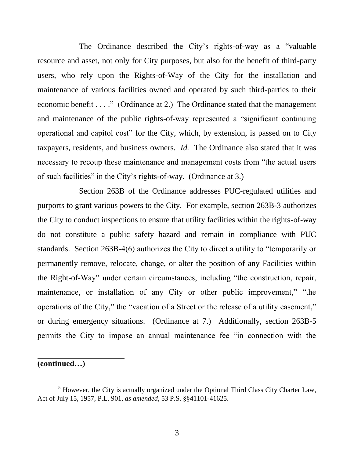The Ordinance described the City's rights-of-way as a "valuable resource and asset, not only for City purposes, but also for the benefit of third-party users, who rely upon the Rights-of-Way of the City for the installation and maintenance of various facilities owned and operated by such third-parties to their economic benefit . . . ." (Ordinance at 2.) The Ordinance stated that the management and maintenance of the public rights-of-way represented a "significant continuing operational and capitol cost" for the City, which, by extension, is passed on to City taxpayers, residents, and business owners. *Id.* The Ordinance also stated that it was necessary to recoup these maintenance and management costs from "the actual users of such facilities" in the City's rights-of-way. (Ordinance at 3.)

Section 263B of the Ordinance addresses PUC-regulated utilities and purports to grant various powers to the City. For example, section 263B-3 authorizes the City to conduct inspections to ensure that utility facilities within the rights-of-way do not constitute a public safety hazard and remain in compliance with PUC standards. Section 263B-4(6) authorizes the City to direct a utility to "temporarily or permanently remove, relocate, change, or alter the position of any Facilities within the Right-of-Way" under certain circumstances, including "the construction, repair, maintenance, or installation of any City or other public improvement," "the operations of the City," the "vacation of a Street or the release of a utility easement," or during emergency situations. (Ordinance at 7.) Additionally, section 263B-5 permits the City to impose an annual maintenance fee "in connection with the

# **(continued…)**

 $\overline{a}$ 

 $<sup>5</sup>$  However, the City is actually organized under the Optional Third Class City Charter Law,</sup> Act of July 15, 1957, P.L. 901, *as amended,* 53 P.S. §§41101-41625.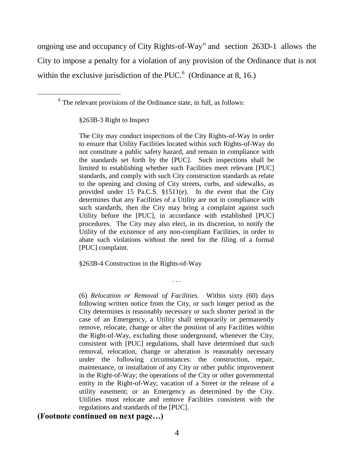ongoing use and occupancy of City Rights-of-Way" and section 263D-1 allows the City to impose a penalty for a violation of any provision of the Ordinance that is not within the exclusive jurisdiction of the PUC. $<sup>6</sup>$  (Ordinance at 8, 16.)</sup>

 $6$  The relevant provisions of the Ordinance state, in full, as follows:

§263B-3 Right to Inspect

l

The City may conduct inspections of the City Rights-of-Way in order to ensure that Utility Facilities located within such Rights-of-Way do not constitute a public safety hazard, and remain in compliance with the standards set forth by the [PUC]. Such inspections shall be limited to establishing whether such Facilities meet relevant [PUC] standards, and comply with such City construction standards as relate to the opening and closing of City streets, curbs, and sidewalks, as provided under 15 Pa.C.S. §1511(e). In the event that the City determines that any Facilities of a Utility are not in compliance with such standards, then the City may bring a complaint against such Utility before the [PUC], in accordance with established [PUC] procedures. The City may also elect, in its discretion, to notify the Utility of the existence of any non-compliant Facilities, in order to abate such violations without the need for the filing of a formal [PUC] complaint.

§263B-4 Construction in the Rights-of-Way

(6) *Relocation or Removal of Facilities*.Within sixty (60) days following written notice from the City, or such longer period as the City determines is reasonably necessary or such shorter period in the case of an Emergency, a Utility shall temporarily or permanently remove, relocate, change or alter the position of any Facilities within the Right-of-Way, excluding those underground, whenever the City, consistent with [PUC] regulations, shall have determined that such removal, relocation, change or alteration is reasonably necessary under the following circumstances: the construction, repair, maintenance, or installation of any City or other public improvement in the Right-of-Way; the operations of the City or other governmental entity in the Right-of-Way; vacation of a Street or the release of a utility easement; or an Emergency as determined by the City. Utilities must relocate and remove Facilities consistent with the regulations and standards of the [PUC].

. . .

## **(Footnote continued on next page…)**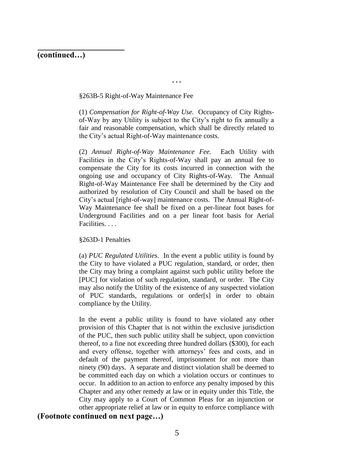## **(continued…)**

 $\overline{a}$ 

#### §263B-5 Right-of-Way Maintenance Fee

(1) *Compensation for Right-of-Way Use.* Occupancy of City Rightsof-Way by any Utility is subject to the City's right to fix annually a fair and reasonable compensation, which shall be directly related to the City's actual Right-of-Way maintenance costs.

**. . .**

(2) *Annual Right-of-Way Maintenance Fee.* Each Utility with Facilities in the City's Rights-of-Way shall pay an annual fee to compensate the City for its costs incurred in connection with the ongoing use and occupancy of City Rights-of-Way. The Annual Right-of-Way Maintenance Fee shall be determined by the City and authorized by resolution of City Council and shall be based on the City's actual [right-of-way] maintenance costs. The Annual Right-of-Way Maintenance fee shall be fixed on a per-linear foot bases for Underground Facilities and on a per linear foot basis for Aerial Facilities. . . .

#### §263D-1 Penalties

(a) *PUC Regulated Utilities*. In the event a public utility is found by the City to have violated a PUC regulation, standard, or order, then the City may bring a complaint against such public utility before the [PUC] for violation of such regulation, standard, or order. The City may also notify the Utility of the existence of any suspected violation of PUC standards, regulations or order[s] in order to obtain compliance by the Utility.

In the event a public utility is found to have violated any other provision of this Chapter that is not within the exclusive jurisdiction of the PUC, then such public utility shall be subject, upon conviction thereof, to a fine not exceeding three hundred dollars (\$300), for each and every offense, together with attorneys' fees and costs, and in default of the payment thereof, imprisonment for not more than ninety (90) days. A separate and distinct violation shall be deemed to be committed each day on which a violation occurs or continues to occur. In addition to an action to enforce any penalty imposed by this Chapter and any other remedy at law or in equity under this Title, the City may apply to a Court of Common Pleas for an injunction or other appropriate relief at law or in equity to enforce compliance with

#### **(Footnote continued on next page…)**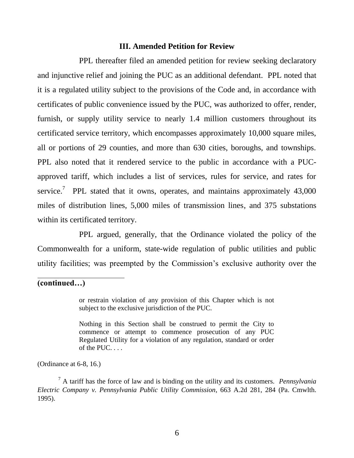#### **III. Amended Petition for Review**

PPL thereafter filed an amended petition for review seeking declaratory and injunctive relief and joining the PUC as an additional defendant. PPL noted that it is a regulated utility subject to the provisions of the Code and, in accordance with certificates of public convenience issued by the PUC, was authorized to offer, render, furnish, or supply utility service to nearly 1.4 million customers throughout its certificated service territory, which encompasses approximately 10,000 square miles, all or portions of 29 counties, and more than 630 cities, boroughs, and townships. PPL also noted that it rendered service to the public in accordance with a PUCapproved tariff, which includes a list of services, rules for service, and rates for service.<sup>7</sup> PPL stated that it owns, operates, and maintains approximately  $43,000$ miles of distribution lines, 5,000 miles of transmission lines, and 375 substations within its certificated territory.

PPL argued, generally, that the Ordinance violated the policy of the Commonwealth for a uniform, state-wide regulation of public utilities and public utility facilities; was preempted by the Commission's exclusive authority over the

**(continued…)**

 $\overline{a}$ 

or restrain violation of any provision of this Chapter which is not subject to the exclusive jurisdiction of the PUC.

Nothing in this Section shall be construed to permit the City to commence or attempt to commence prosecution of any PUC Regulated Utility for a violation of any regulation, standard or order of the  $PUC.$ ...

(Ordinance at 6-8, 16.)

<sup>7</sup> A tariff has the force of law and is binding on the utility and its customers. *Pennsylvania Electric Company v. Pennsylvania Public Utility Commission*, 663 A.2d 281, 284 (Pa. Cmwlth. 1995).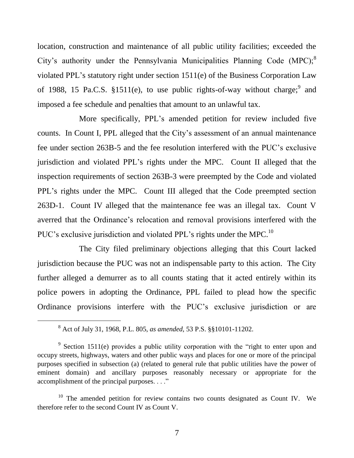location, construction and maintenance of all public utility facilities; exceeded the City's authority under the Pennsylvania Municipalities Planning Code (MPC); $^{8}$ violated PPL's statutory right under section 1511(e) of the Business Corporation Law of 1988, 15 Pa.C.S. §1511(e), to use public rights-of-way without charge;  $9$  and imposed a fee schedule and penalties that amount to an unlawful tax.

More specifically, PPL's amended petition for review included five counts. In Count I, PPL alleged that the City's assessment of an annual maintenance fee under section 263B-5 and the fee resolution interfered with the PUC's exclusive jurisdiction and violated PPL's rights under the MPC. Count II alleged that the inspection requirements of section 263B-3 were preempted by the Code and violated PPL's rights under the MPC. Count III alleged that the Code preempted section 263D-1. Count IV alleged that the maintenance fee was an illegal tax. Count V averred that the Ordinance's relocation and removal provisions interfered with the PUC's exclusive jurisdiction and violated PPL's rights under the MPC.<sup>10</sup>

The City filed preliminary objections alleging that this Court lacked jurisdiction because the PUC was not an indispensable party to this action. The City further alleged a demurrer as to all counts stating that it acted entirely within its police powers in adopting the Ordinance, PPL failed to plead how the specific Ordinance provisions interfere with the PUC's exclusive jurisdiction or are

<sup>8</sup> Act of July 31, 1968, P.L. 805, *as amended*, 53 P.S. §§10101-11202.

<sup>&</sup>lt;sup>9</sup> Section 1511(e) provides a public utility corporation with the "right to enter upon and occupy streets, highways, waters and other public ways and places for one or more of the principal purposes specified in subsection (a) (related to general rule that public utilities have the power of eminent domain) and ancillary purposes reasonably necessary or appropriate for the accomplishment of the principal purposes. . . ."

 $10$  The amended petition for review contains two counts designated as Count IV. We therefore refer to the second Count IV as Count V.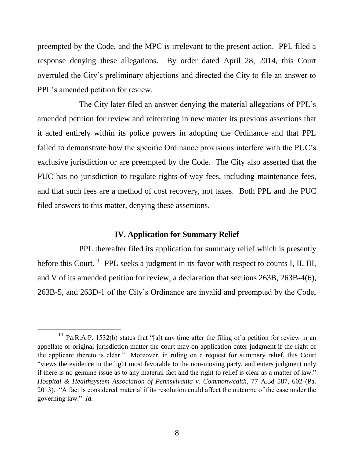preempted by the Code, and the MPC is irrelevant to the present action. PPL filed a response denying these allegations. By order dated April 28, 2014, this Court overruled the City's preliminary objections and directed the City to file an answer to PPL's amended petition for review.

The City later filed an answer denying the material allegations of PPL's amended petition for review and reiterating in new matter its previous assertions that it acted entirely within its police powers in adopting the Ordinance and that PPL failed to demonstrate how the specific Ordinance provisions interfere with the PUC's exclusive jurisdiction or are preempted by the Code. The City also asserted that the PUC has no jurisdiction to regulate rights-of-way fees, including maintenance fees, and that such fees are a method of cost recovery, not taxes. Both PPL and the PUC filed answers to this matter, denying these assertions.

## **IV. Application for Summary Relief**

PPL thereafter filed its application for summary relief which is presently before this Court.<sup>11</sup> PPL seeks a judgment in its favor with respect to counts I, II, III, and V of its amended petition for review, a declaration that sections 263B, 263B-4(6), 263B-5, and 263D-1 of the City's Ordinance are invalid and preempted by the Code,

 $11$  Pa.R.A.P. 1532(b) states that "[a]t any time after the filing of a petition for review in an appellate or original jurisdiction matter the court may on application enter judgment if the right of the applicant thereto is clear." Moreover, in ruling on a request for summary relief, this Court "views the evidence in the light most favorable to the non-moving party, and enters judgment only if there is no genuine issue as to any material fact and the right to relief is clear as a matter of law." *Hospital & Healthsystem Association of Pennsylvania v. Commonwealth*, 77 A.3d 587, 602 (Pa. 2013). "A fact is considered material if its resolution could affect the outcome of the case under the governing law." *Id.*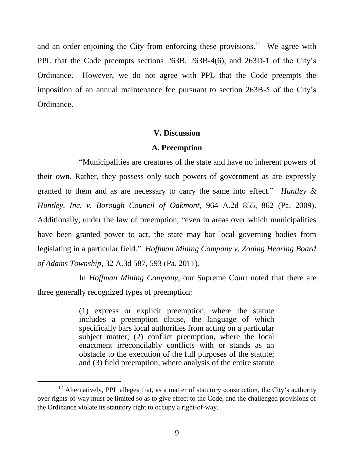and an order enjoining the City from enforcing these provisions.<sup>12</sup> We agree with PPL that the Code preempts sections 263B, 263B-4(6), and 263D-1 of the City's Ordinance. However, we do not agree with PPL that the Code preempts the imposition of an annual maintenance fee pursuant to section 263B-5 of the City's Ordinance.

#### **V. Discussion**

#### **A. Preemption**

"Municipalities are creatures of the state and have no inherent powers of their own. Rather, they possess only such powers of government as are expressly granted to them and as are necessary to carry the same into effect." *Huntley & Huntley, Inc. v. Borough Council of Oakmont*, 964 A.2d 855, 862 (Pa. 2009). Additionally, under the law of preemption, "even in areas over which municipalities have been granted power to act, the state may bar local governing bodies from legislating in a particular field." *Hoffman Mining Company v. Zoning Hearing Board of Adams Township*, 32 A.3d 587, 593 (Pa. 2011).

In *Hoffman Mining Company*, our Supreme Court noted that there are three generally recognized types of preemption:

> (1) express or explicit preemption, where the statute includes a preemption clause, the language of which specifically bars local authorities from acting on a particular subject matter; (2) conflict preemption, where the local enactment irreconcilably conflicts with or stands as an obstacle to the execution of the full purposes of the statute; and (3) field preemption, where analysis of the entire statute

 $12$  Alternatively, PPL alleges that, as a matter of statutory construction, the City's authority over rights-of-way must be limited so as to give effect to the Code, and the challenged provisions of the Ordinance violate its statutory right to occupy a right-of-way.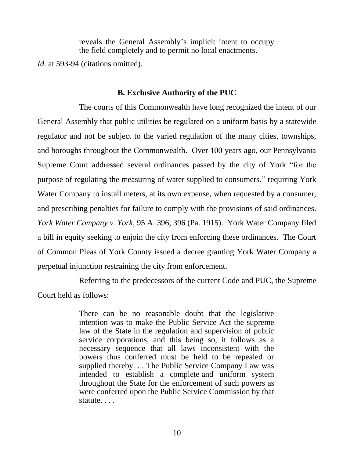reveals the General Assembly's implicit intent to occupy the field completely and to permit no local enactments.

*Id.* at 593-94 (citations omitted).

## **B. Exclusive Authority of the PUC**

The courts of this Commonwealth have long recognized the intent of our General Assembly that public utilities be regulated on a uniform basis by a statewide regulator and not be subject to the varied regulation of the many cities, townships, and boroughs throughout the Commonwealth. Over 100 years ago, our Pennsylvania Supreme Court addressed several ordinances passed by the city of York "for the purpose of regulating the measuring of water supplied to consumers," requiring York Water Company to install meters, at its own expense, when requested by a consumer, and prescribing penalties for failure to comply with the provisions of said ordinances. *York Water Company v. York*, 95 A. 396, 396 (Pa. 1915). York Water Company filed a bill in equity seeking to enjoin the city from enforcing these ordinances. The Court of Common Pleas of York County issued a decree granting York Water Company a perpetual injunction restraining the city from enforcement.

Referring to the predecessors of the current Code and PUC, the Supreme Court held as follows:

> There can be no reasonable doubt that the legislative intention was to make the Public Service Act the supreme law of the State in the regulation and supervision of public service corporations, and this being so, it follows as a necessary sequence that all laws inconsistent with the powers thus conferred must be held to be repealed or supplied thereby. . . The Public Service Company Law was intended to establish a complete and uniform system throughout the State for the enforcement of such powers as were conferred upon the Public Service Commission by that statute. . . .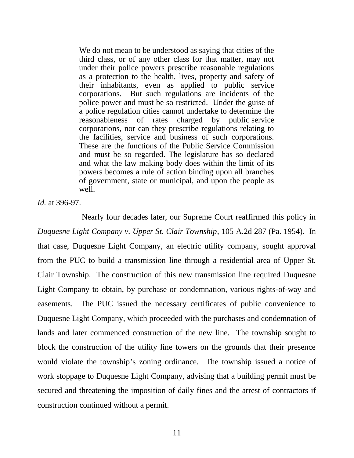We do not mean to be understood as saying that cities of the third class, or of any other class for that matter, may not under their police powers prescribe reasonable regulations as a protection to the health, lives, property and safety of their inhabitants, even as applied to public service corporations. But such regulations are incidents of the police power and must be so restricted. Under the guise of a police regulation cities cannot undertake to determine the reasonableness of rates charged by public service corporations, nor can they prescribe regulations relating to the facilities, service and business of such corporations. These are the functions of the Public Service Commission and must be so regarded. The legislature has so declared and what the law making body does within the limit of its powers becomes a rule of action binding upon all branches of government, state or municipal, and upon the people as well.

*Id.* at 396-97.

Nearly four decades later, our Supreme Court reaffirmed this policy in *Duquesne Light Company v. Upper St. Clair Township*, 105 A.2d 287 (Pa. 1954). In that case, Duquesne Light Company, an electric utility company, sought approval from the PUC to build a transmission line through a residential area of Upper St. Clair Township. The construction of this new transmission line required Duquesne Light Company to obtain, by purchase or condemnation, various rights-of-way and easements. The PUC issued the necessary certificates of public convenience to Duquesne Light Company, which proceeded with the purchases and condemnation of lands and later commenced construction of the new line. The township sought to block the construction of the utility line towers on the grounds that their presence would violate the township's zoning ordinance. The township issued a notice of work stoppage to Duquesne Light Company, advising that a building permit must be secured and threatening the imposition of daily fines and the arrest of contractors if construction continued without a permit.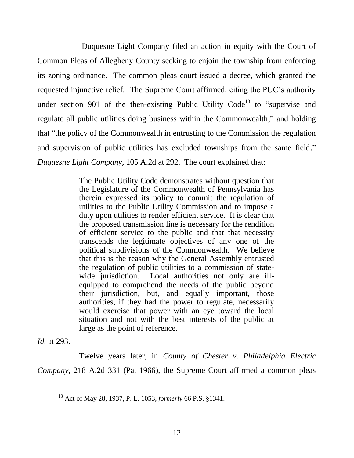Duquesne Light Company filed an action in equity with the Court of Common Pleas of Allegheny County seeking to enjoin the township from enforcing its zoning ordinance. The common pleas court issued a decree, which granted the requested injunctive relief. The Supreme Court affirmed, citing the PUC's authority under section 901 of the then-existing Public Utility  $Code<sup>13</sup>$  to "supervise and regulate all public utilities doing business within the Commonwealth," and holding that "the policy of the Commonwealth in entrusting to the Commission the regulation and supervision of public utilities has excluded townships from the same field." *Duquesne Light Company*, 105 A.2d at 292. The court explained that:

> The Public Utility Code demonstrates without question that the Legislature of the Commonwealth of Pennsylvania has therein expressed its policy to commit the regulation of utilities to the Public Utility Commission and to impose a duty upon utilities to render efficient service. It is clear that the proposed transmission line is necessary for the rendition of efficient service to the public and that that necessity transcends the legitimate objectives of any one of the political subdivisions of the Commonwealth. We believe that this is the reason why the General Assembly entrusted the regulation of public utilities to a commission of statewide jurisdiction. Local authorities not only are illequipped to comprehend the needs of the public beyond their jurisdiction, but, and equally important, those authorities, if they had the power to regulate, necessarily would exercise that power with an eye toward the local situation and not with the best interests of the public at large as the point of reference.

*Id.* at 293.

l

Twelve years later, in *County of Chester v. Philadelphia Electric Company*, 218 A.2d 331 (Pa. 1966), the Supreme Court affirmed a common pleas

<sup>13</sup> Act of May 28, 1937, P. L. 1053, *formerly* 66 P.S. §1341.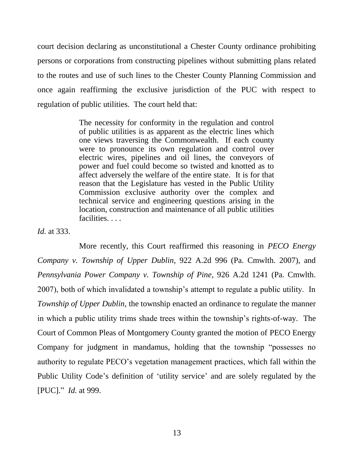court decision declaring as unconstitutional a Chester County ordinance prohibiting persons or corporations from constructing pipelines without submitting plans related to the routes and use of such lines to the Chester County Planning Commission and once again reaffirming the exclusive jurisdiction of the PUC with respect to regulation of public utilities. The court held that:

> The necessity for conformity in the regulation and control of public utilities is as apparent as the electric lines which one views traversing the Commonwealth. If each county were to pronounce its own regulation and control over electric wires, pipelines and oil lines, the conveyors of power and fuel could become so twisted and knotted as to affect adversely the welfare of the entire state. It is for that reason that the Legislature has vested in the Public Utility Commission exclusive authority over the complex and technical service and engineering questions arising in the location, construction and maintenance of all public utilities facilities. . . .

*Id.* at 333.

More recently, this Court reaffirmed this reasoning in *PECO Energy Company v. Township of Upper Dublin*, 922 A.2d 996 (Pa. Cmwlth. 2007), and *Pennsylvania Power Company v. Township of Pine*, 926 A.2d 1241 (Pa. Cmwlth. 2007), both of which invalidated a township's attempt to regulate a public utility. In *Township of Upper Dublin*, the township enacted an ordinance to regulate the manner in which a public utility trims shade trees within the township's rights-of-way. The Court of Common Pleas of Montgomery County granted the motion of PECO Energy Company for judgment in mandamus, holding that the township "possesses no authority to regulate PECO's vegetation management practices, which fall within the Public Utility Code's definition of 'utility service' and are solely regulated by the [PUC]." *Id.* at 999.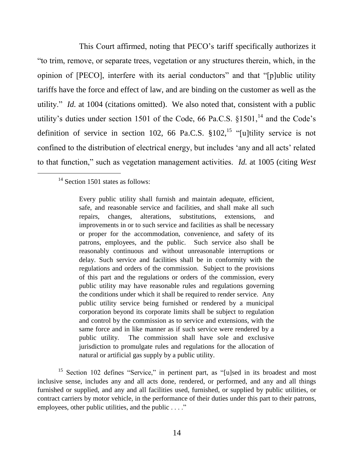This Court affirmed, noting that PECO's tariff specifically authorizes it "to trim, remove, or separate trees, vegetation or any structures therein, which, in the opinion of [PECO], interfere with its aerial conductors" and that "[p]ublic utility tariffs have the force and effect of law, and are binding on the customer as well as the utility." *Id.* at 1004 (citations omitted). We also noted that, consistent with a public utility's duties under section 1501 of the Code, 66 Pa.C.S.  $$1501$ ,<sup>14</sup> and the Code's definition of service in section 102, 66 Pa.C.S.  $$102<sup>15</sup>$  "[u]tility service is not confined to the distribution of electrical energy, but includes 'any and all acts' related to that function," such as vegetation management activities. *Id.* at 1005 (citing *West* 

 $14$  Section 1501 states as follows:

Every public utility shall furnish and maintain adequate, efficient, safe, and reasonable service and facilities, and shall make all such repairs, changes, alterations, substitutions, extensions, and improvements in or to such service and facilities as shall be necessary or proper for the accommodation, convenience, and safety of its patrons, employees, and the public. Such service also shall be reasonably continuous and without unreasonable interruptions or delay. Such service and facilities shall be in conformity with the regulations and orders of the commission. Subject to the provisions of this part and the regulations or orders of the commission, every public utility may have reasonable rules and regulations governing the conditions under which it shall be required to render service. Any public utility service being furnished or rendered by a municipal corporation beyond its corporate limits shall be subject to regulation and control by the commission as to service and extensions, with the same force and in like manner as if such service were rendered by a public utility. The commission shall have sole and exclusive jurisdiction to promulgate rules and regulations for the allocation of natural or artificial gas supply by a public utility.

<sup>&</sup>lt;sup>15</sup> Section 102 defines "Service," in pertinent part, as "[u]sed in its broadest and most inclusive sense, includes any and all acts done, rendered, or performed, and any and all things furnished or supplied, and any and all facilities used, furnished, or supplied by public utilities, or contract carriers by motor vehicle, in the performance of their duties under this part to their patrons, employees, other public utilities, and the public . . . ."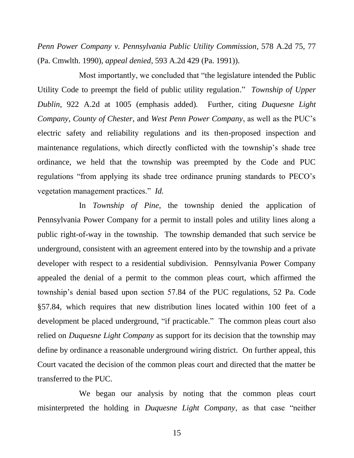*Penn Power Company v. Pennsylvania Public Utility Commission*, 578 A.2d 75, 77 (Pa. Cmwlth. 1990), *appeal denied*, 593 A.2d 429 (Pa. 1991)).

Most importantly, we concluded that "the legislature intended the Public Utility Code to preempt the field of public utility regulation." *Township of Upper Dublin*, 922 A.2d at 1005 (emphasis added)*.* Further, citing *Duquesne Light Company*, *County of Chester*, and *West Penn Power Company*, as well as the PUC's electric safety and reliability regulations and its then-proposed inspection and maintenance regulations, which directly conflicted with the township's shade tree ordinance, we held that the township was preempted by the Code and PUC regulations "from applying its shade tree ordinance pruning standards to PECO's vegetation management practices." *Id.*

In *Township of Pine*, the township denied the application of Pennsylvania Power Company for a permit to install poles and utility lines along a public right-of-way in the township. The township demanded that such service be underground, consistent with an agreement entered into by the township and a private developer with respect to a residential subdivision. Pennsylvania Power Company appealed the denial of a permit to the common pleas court, which affirmed the township's denial based upon section 57.84 of the PUC regulations, 52 Pa. Code §57.84, which requires that new distribution lines located within 100 feet of a development be placed underground, "if practicable." The common pleas court also relied on *Duquesne Light Company* as support for its decision that the township may define by ordinance a reasonable underground wiring district. On further appeal, this Court vacated the decision of the common pleas court and directed that the matter be transferred to the PUC.

We began our analysis by noting that the common pleas court misinterpreted the holding in *Duquesne Light Company*, as that case "neither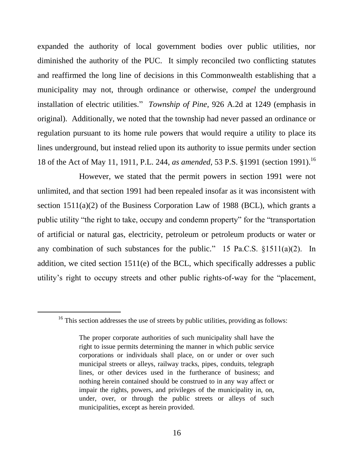expanded the authority of local government bodies over public utilities, nor diminished the authority of the PUC. It simply reconciled two conflicting statutes and reaffirmed the long line of decisions in this Commonwealth establishing that a municipality may not, through ordinance or otherwise, *compel* the underground installation of electric utilities." *Township of Pine*, 926 A.2d at 1249 (emphasis in original). Additionally, we noted that the township had never passed an ordinance or regulation pursuant to its home rule powers that would require a utility to place its lines underground, but instead relied upon its authority to issue permits under section 18 of the Act of May 11, 1911, P.L. 244, *as amended*, 53 P.S. §1991 (section 1991).<sup>16</sup>

However, we stated that the permit powers in section 1991 were not unlimited, and that section 1991 had been repealed insofar as it was inconsistent with section 1511(a)(2) of the Business Corporation Law of 1988 (BCL), which grants a public utility "the right to take, occupy and condemn property" for the "transportation of artificial or natural gas, electricity, petroleum or petroleum products or water or any combination of such substances for the public." 15 Pa.C.S.  $\S 1511(a)(2)$ . In addition, we cited section 1511(e) of the BCL, which specifically addresses a public utility's right to occupy streets and other public rights-of-way for the "placement,

 $16$ <sup>16</sup> This section addresses the use of streets by public utilities, providing as follows:

The proper corporate authorities of such municipality shall have the right to issue permits determining the manner in which public service corporations or individuals shall place, on or under or over such municipal streets or alleys, railway tracks, pipes, conduits, telegraph lines, or other devices used in the furtherance of business; and nothing herein contained should be construed to in any way affect or impair the rights, powers, and privileges of the municipality in, on, under, over, or through the public streets or alleys of such municipalities, except as herein provided.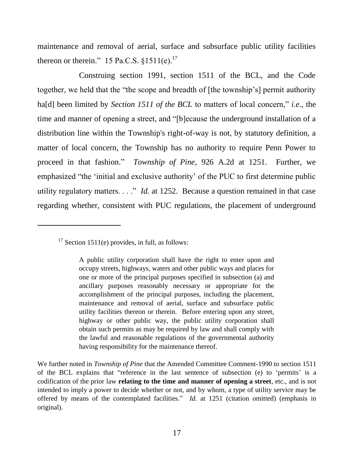maintenance and removal of aerial, surface and subsurface public utility facilities thereon or therein." 15 Pa.C.S.  $§1511(e).^{17}$ 

Construing section 1991, section 1511 of the BCL, and the Code together, we held that the "the scope and breadth of [the township's] permit authority ha[d] been limited by *Section 1511 of the BCL* to matters of local concern," *i.e.*, the time and manner of opening a street, and "[b]ecause the underground installation of a distribution line within the Township's right-of-way is not, by statutory definition, a matter of local concern, the Township has no authority to require Penn Power to proceed in that fashion." *Township of Pine*, 926 A.2d at 1251. Further, we emphasized "the 'initial and exclusive authority' of the PUC to first determine public utility regulatory matters. . . ." *Id.* at 1252. Because a question remained in that case regarding whether, consistent with PUC regulations, the placement of underground

l

We further noted in *Township of Pine* that the Amended Committee Comment-1990 to section 1511 of the BCL explains that "reference in the last sentence of subsection (e) to 'permits' is a codification of the prior law **relating to the time and manner of opening a street**, etc., and is not intended to imply a power to decide whether or not, and by whom, a type of utility service may be offered by means of the contemplated facilities." *Id.* at 1251 (citation omitted) (emphasis in original).

 $17$  Section 1511(e) provides, in full, as follows:

A public utility corporation shall have the right to enter upon and occupy streets, highways, waters and other public ways and places for one or more of the principal purposes specified in subsection (a) and ancillary purposes reasonably necessary or appropriate for the accomplishment of the principal purposes, including the placement, maintenance and removal of aerial, surface and subsurface public utility facilities thereon or therein. Before entering upon any street, highway or other public way, the public utility corporation shall obtain such permits as may be required by law and shall comply with the lawful and reasonable regulations of the governmental authority having responsibility for the maintenance thereof.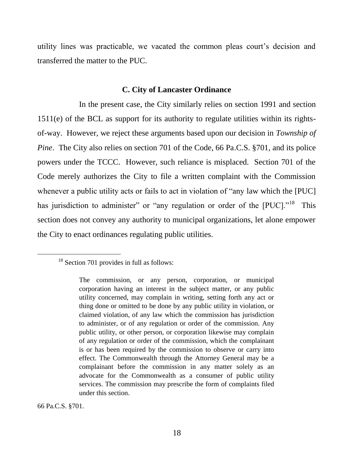utility lines was practicable, we vacated the common pleas court's decision and transferred the matter to the PUC.

#### **C. City of Lancaster Ordinance**

In the present case, the City similarly relies on section 1991 and section 1511(e) of the BCL as support for its authority to regulate utilities within its rightsof-way. However, we reject these arguments based upon our decision in *Township of Pine*. The City also relies on section 701 of the Code, 66 Pa.C.S. §701, and its police powers under the TCCC. However, such reliance is misplaced. Section 701 of the Code merely authorizes the City to file a written complaint with the Commission whenever a public utility acts or fails to act in violation of "any law which the [PUC] has jurisdiction to administer" or "any regulation or order of the [PUC]."<sup>18</sup> This section does not convey any authority to municipal organizations, let alone empower the City to enact ordinances regulating public utilities.

66 Pa.C.S. §701.

<sup>&</sup>lt;sup>18</sup> Section 701 provides in full as follows:

The commission, or any person, corporation, or municipal corporation having an interest in the subject matter, or any public utility concerned, may complain in writing, setting forth any act or thing done or omitted to be done by any public utility in violation, or claimed violation, of any law which the commission has jurisdiction to administer, or of any regulation or order of the commission. Any public utility, or other person, or corporation likewise may complain of any regulation or order of the commission, which the complainant is or has been required by the commission to observe or carry into effect. The Commonwealth through the Attorney General may be a complainant before the commission in any matter solely as an advocate for the Commonwealth as a consumer of public utility services. The commission may prescribe the form of complaints filed under this section.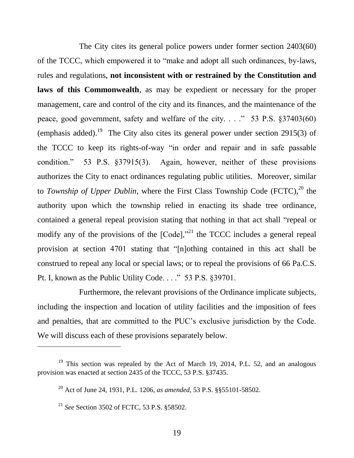The City cites its general police powers under former section 2403(60) of the TCCC, which empowered it to "make and adopt all such ordinances, by-laws, rules and regulations, **not inconsistent with or restrained by the Constitution and laws of this Commonwealth**, as may be expedient or necessary for the proper management, care and control of the city and its finances, and the maintenance of the peace, good government, safety and welfare of the city. . . ." 53 P.S. §37403(60) (emphasis added).<sup>19</sup> The City also cites its general power under section 2915(3) of the TCCC to keep its rights-of-way "in order and repair and in safe passable condition." 53 P.S. §37915(3). Again, however, neither of these provisions authorizes the City to enact ordinances regulating public utilities. Moreover, similar to *Township of Upper Dublin*, where the First Class Township Code (FCTC),<sup>20</sup> the authority upon which the township relied in enacting its shade tree ordinance, contained a general repeal provision stating that nothing in that act shall "repeal or modify any of the provisions of the  $[Code]$ ,"<sup>21</sup> the TCCC includes a general repeal provision at section 4701 stating that "[n]othing contained in this act shall be construed to repeal any local or special laws; or to repeal the provisions of 66 Pa.C.S. Pt. I, known as the Public Utility Code. . . ." 53 P.S. §39701.

Furthermore, the relevant provisions of the Ordinance implicate subjects, including the inspection and location of utility facilities and the imposition of fees and penalties, that are committed to the PUC's exclusive jurisdiction by the Code. We will discuss each of these provisions separately below.

<sup>&</sup>lt;sup>19</sup> This section was repealed by the Act of March 19, 2014, P.L. 52, and an analogous provision was enacted at section 2435 of the TCCC, 53 P.S. §37435.

<sup>20</sup> Act of June 24, 1931, P.L. 1206, *as amended*, 53 P.S. §§55101-58502.

<sup>21</sup> *See* Section 3502 of FCTC, 53 P.S. §58502.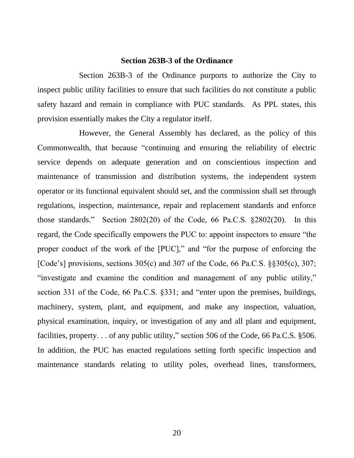#### **Section 263B-3 of the Ordinance**

Section 263B-3 of the Ordinance purports to authorize the City to inspect public utility facilities to ensure that such facilities do not constitute a public safety hazard and remain in compliance with PUC standards. As PPL states, this provision essentially makes the City a regulator itself.

However, the General Assembly has declared, as the policy of this Commonwealth, that because "continuing and ensuring the reliability of electric service depends on adequate generation and on conscientious inspection and maintenance of transmission and distribution systems, the independent system operator or its functional equivalent should set, and the commission shall set through regulations, inspection, maintenance, repair and replacement standards and enforce those standards." Section 2802(20) of the Code, 66 Pa.C.S. §2802(20). In this regard, the Code specifically empowers the PUC to: appoint inspectors to ensure "the proper conduct of the work of the [PUC]," and "for the purpose of enforcing the [Code's] provisions, sections 305(c) and 307 of the Code, 66 Pa.C.S. §§305(c), 307; "investigate and examine the condition and management of any public utility," section 331 of the Code, 66 Pa.C.S. §331; and "enter upon the premises, buildings, machinery, system, plant, and equipment, and make any inspection, valuation, physical examination, inquiry, or investigation of any and all plant and equipment, facilities, property. . . of any public utility," section 506 of the Code, 66 Pa.C.S. §506. In addition, the PUC has enacted regulations setting forth specific inspection and maintenance standards relating to utility poles, overhead lines, transformers,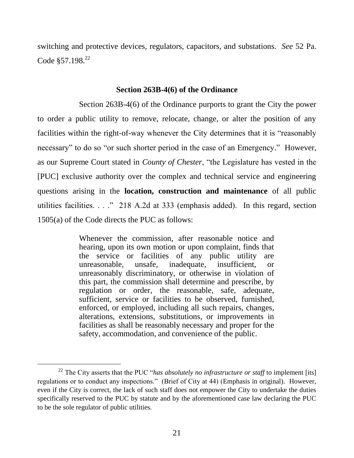switching and protective devices, regulators, capacitors, and substations. *See* 52 Pa. Code  $$57.198<sup>22</sup>$ 

#### **Section 263B-4(6) of the Ordinance**

Section 263B-4(6) of the Ordinance purports to grant the City the power to order a public utility to remove, relocate, change, or alter the position of any facilities within the right-of-way whenever the City determines that it is "reasonably necessary" to do so "or such shorter period in the case of an Emergency." However, as our Supreme Court stated in *County of Chester*, "the Legislature has vested in the [PUC] exclusive authority over the complex and technical service and engineering questions arising in the **location, construction and maintenance** of all public utilities facilities. . . ." 218 A.2d at 333 (emphasis added). In this regard, section 1505(a) of the Code directs the PUC as follows:

> Whenever the commission, after reasonable notice and hearing, upon its own motion or upon complaint, finds that the service or facilities of any public utility are unreasonable, unsafe, inadequate, insufficient, or unreasonably discriminatory, or otherwise in violation of this part, the commission shall determine and prescribe, by regulation or order, the reasonable, safe, adequate, sufficient, service or facilities to be observed, furnished, enforced, or employed, including all such repairs, changes, alterations, extensions, substitutions, or improvements in facilities as shall be reasonably necessary and proper for the safety, accommodation, and convenience of the public.

<sup>22</sup> The City asserts that the PUC "*has absolutely no infrastructure or staff* to implement [its] regulations or to conduct any inspections." (Brief of City at 44) (Emphasis in original). However, even if the City is correct, the lack of such staff does not empower the City to undertake the duties specifically reserved to the PUC by statute and by the aforementioned case law declaring the PUC to be the sole regulator of public utilities.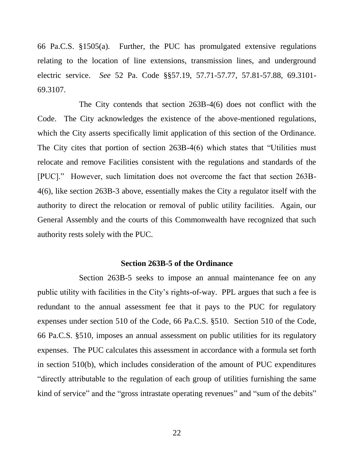66 Pa.C.S. §1505(a). Further, the PUC has promulgated extensive regulations relating to the location of line extensions, transmission lines, and underground electric service. *See* 52 Pa. Code §§57.19, 57.71-57.77, 57.81-57.88, 69.3101- 69.3107.

The City contends that section 263B-4(6) does not conflict with the Code. The City acknowledges the existence of the above-mentioned regulations, which the City asserts specifically limit application of this section of the Ordinance. The City cites that portion of section 263B-4(6) which states that "Utilities must relocate and remove Facilities consistent with the regulations and standards of the [PUC]." However, such limitation does not overcome the fact that section 263B-4(6), like section 263B-3 above, essentially makes the City a regulator itself with the authority to direct the relocation or removal of public utility facilities. Again, our General Assembly and the courts of this Commonwealth have recognized that such authority rests solely with the PUC.

#### **Section 263B-5 of the Ordinance**

Section 263B-5 seeks to impose an annual maintenance fee on any public utility with facilities in the City's rights-of-way. PPL argues that such a fee is redundant to the annual assessment fee that it pays to the PUC for regulatory expenses under section 510 of the Code, 66 Pa.C.S. §510. Section 510 of the Code, 66 Pa.C.S. §510, imposes an annual assessment on public utilities for its regulatory expenses. The PUC calculates this assessment in accordance with a formula set forth in section 510(b), which includes consideration of the amount of PUC expenditures "directly attributable to the regulation of each group of utilities furnishing the same kind of service" and the "gross intrastate operating revenues" and "sum of the debits"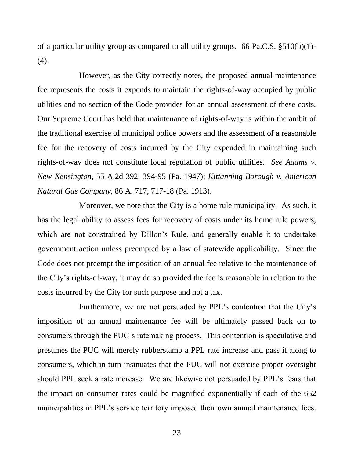of a particular utility group as compared to all utility groups. 66 Pa.C.S. §510(b)(1)-  $(4).$ 

However, as the City correctly notes, the proposed annual maintenance fee represents the costs it expends to maintain the rights-of-way occupied by public utilities and no section of the Code provides for an annual assessment of these costs. Our Supreme Court has held that maintenance of rights-of-way is within the ambit of the traditional exercise of municipal police powers and the assessment of a reasonable fee for the recovery of costs incurred by the City expended in maintaining such rights-of-way does not constitute local regulation of public utilities. *See Adams v. New Kensington*, 55 A.2d 392, 394-95 (Pa. 1947); *Kittanning Borough v. American Natural Gas Company*, 86 A. 717, 717-18 (Pa. 1913).

Moreover, we note that the City is a home rule municipality. As such, it has the legal ability to assess fees for recovery of costs under its home rule powers, which are not constrained by Dillon's Rule, and generally enable it to undertake government action unless preempted by a law of statewide applicability. Since the Code does not preempt the imposition of an annual fee relative to the maintenance of the City's rights-of-way, it may do so provided the fee is reasonable in relation to the costs incurred by the City for such purpose and not a tax.

Furthermore, we are not persuaded by PPL's contention that the City's imposition of an annual maintenance fee will be ultimately passed back on to consumers through the PUC's ratemaking process. This contention is speculative and presumes the PUC will merely rubberstamp a PPL rate increase and pass it along to consumers, which in turn insinuates that the PUC will not exercise proper oversight should PPL seek a rate increase. We are likewise not persuaded by PPL's fears that the impact on consumer rates could be magnified exponentially if each of the 652 municipalities in PPL's service territory imposed their own annual maintenance fees.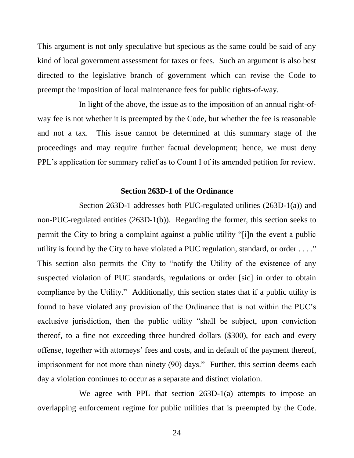This argument is not only speculative but specious as the same could be said of any kind of local government assessment for taxes or fees. Such an argument is also best directed to the legislative branch of government which can revise the Code to preempt the imposition of local maintenance fees for public rights-of-way.

In light of the above, the issue as to the imposition of an annual right-ofway fee is not whether it is preempted by the Code, but whether the fee is reasonable and not a tax. This issue cannot be determined at this summary stage of the proceedings and may require further factual development; hence, we must deny PPL's application for summary relief as to Count I of its amended petition for review.

#### **Section 263D-1 of the Ordinance**

Section 263D-1 addresses both PUC-regulated utilities (263D-1(a)) and non-PUC-regulated entities (263D-1(b)). Regarding the former, this section seeks to permit the City to bring a complaint against a public utility "[i]n the event a public utility is found by the City to have violated a PUC regulation, standard, or order  $\dots$ ." This section also permits the City to "notify the Utility of the existence of any suspected violation of PUC standards, regulations or order [sic] in order to obtain compliance by the Utility." Additionally, this section states that if a public utility is found to have violated any provision of the Ordinance that is not within the PUC's exclusive jurisdiction, then the public utility "shall be subject, upon conviction thereof, to a fine not exceeding three hundred dollars (\$300), for each and every offense, together with attorneys' fees and costs, and in default of the payment thereof, imprisonment for not more than ninety (90) days." Further, this section deems each day a violation continues to occur as a separate and distinct violation.

We agree with PPL that section 263D-1(a) attempts to impose an overlapping enforcement regime for public utilities that is preempted by the Code.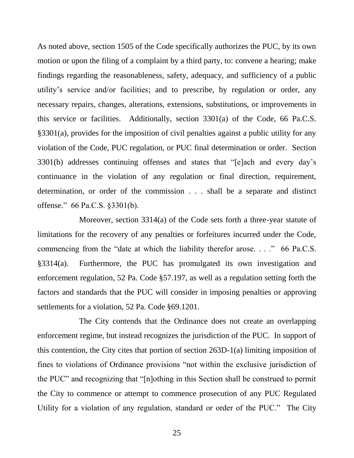As noted above, section 1505 of the Code specifically authorizes the PUC, by its own motion or upon the filing of a complaint by a third party, to: convene a hearing; make findings regarding the reasonableness, safety, adequacy, and sufficiency of a public utility's service and/or facilities; and to prescribe, by regulation or order, any necessary repairs, changes, alterations, extensions, substitutions, or improvements in this service or facilities. Additionally, section 3301(a) of the Code, 66 Pa.C.S. §3301(a), provides for the imposition of civil penalties against a public utility for any violation of the Code, PUC regulation, or PUC final determination or order. Section 3301(b) addresses continuing offenses and states that "[e]ach and every day's continuance in the violation of any regulation or final direction, requirement, determination, or order of the commission . . . shall be a separate and distinct offense." 66 Pa.C.S. §3301(b).

Moreover, section 3314(a) of the Code sets forth a three-year statute of limitations for the recovery of any penalties or forfeitures incurred under the Code, commencing from the "date at which the liability therefor arose. . . ." 66 Pa.C.S. §3314(a). Furthermore, the PUC has promulgated its own investigation and enforcement regulation, 52 Pa. Code §57.197, as well as a regulation setting forth the factors and standards that the PUC will consider in imposing penalties or approving settlements for a violation, 52 Pa. Code §69.1201.

The City contends that the Ordinance does not create an overlapping enforcement regime, but instead recognizes the jurisdiction of the PUC. In support of this contention, the City cites that portion of section 263D-1(a) limiting imposition of fines to violations of Ordinance provisions "not within the exclusive jurisdiction of the PUC" and recognizing that "[n]othing in this Section shall be construed to permit the City to commence or attempt to commence prosecution of any PUC Regulated Utility for a violation of any regulation, standard or order of the PUC." The City

25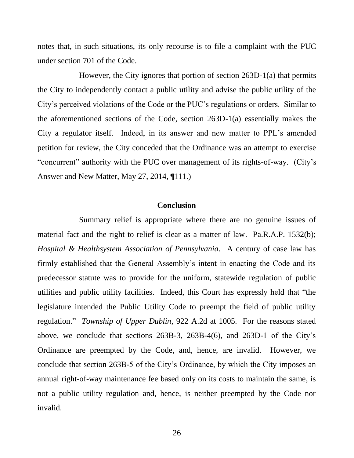notes that, in such situations, its only recourse is to file a complaint with the PUC under section 701 of the Code.

However, the City ignores that portion of section 263D-1(a) that permits the City to independently contact a public utility and advise the public utility of the City's perceived violations of the Code or the PUC's regulations or orders. Similar to the aforementioned sections of the Code, section 263D-1(a) essentially makes the City a regulator itself. Indeed, in its answer and new matter to PPL's amended petition for review, the City conceded that the Ordinance was an attempt to exercise "concurrent" authority with the PUC over management of its rights-of-way. (City's Answer and New Matter, May 27, 2014, ¶111.)

#### **Conclusion**

Summary relief is appropriate where there are no genuine issues of material fact and the right to relief is clear as a matter of law. Pa.R.A.P. 1532(b); *Hospital & Healthsystem Association of Pennsylvania*. A century of case law has firmly established that the General Assembly's intent in enacting the Code and its predecessor statute was to provide for the uniform, statewide regulation of public utilities and public utility facilities. Indeed, this Court has expressly held that "the legislature intended the Public Utility Code to preempt the field of public utility regulation." *Township of Upper Dublin*, 922 A.2d at 1005. For the reasons stated above, we conclude that sections 263B-3, 263B-4(6), and 263D-1 of the City's Ordinance are preempted by the Code, and, hence, are invalid. However, we conclude that section 263B-5 of the City's Ordinance, by which the City imposes an annual right-of-way maintenance fee based only on its costs to maintain the same, is not a public utility regulation and, hence, is neither preempted by the Code nor invalid.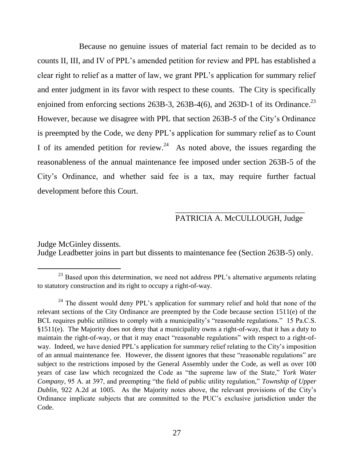Because no genuine issues of material fact remain to be decided as to counts II, III, and IV of PPL's amended petition for review and PPL has established a clear right to relief as a matter of law, we grant PPL's application for summary relief and enter judgment in its favor with respect to these counts. The City is specifically enjoined from enforcing sections 263B-3, 263B-4(6), and 263D-1 of its Ordinance.<sup>23</sup> However, because we disagree with PPL that section 263B-5 of the City's Ordinance is preempted by the Code, we deny PPL's application for summary relief as to Count I of its amended petition for review.<sup>24</sup> As noted above, the issues regarding the reasonableness of the annual maintenance fee imposed under section 263B-5 of the City's Ordinance, and whether said fee is a tax, may require further factual development before this Court.

## \_\_\_\_\_\_\_\_\_\_\_\_\_\_\_\_\_\_\_\_\_\_\_\_\_\_\_\_\_\_\_\_ PATRICIA A. McCULLOUGH, Judge

Judge McGinley dissents. Judge Leadbetter joins in part but dissents to maintenance fee (Section 263B-5) only.

 $^{23}$  Based upon this determination, we need not address PPL's alternative arguments relating to statutory construction and its right to occupy a right-of-way.

 $24$  The dissent would deny PPL's application for summary relief and hold that none of the relevant sections of the City Ordinance are preempted by the Code because section 1511(e) of the BCL requires public utilities to comply with a municipality's "reasonable regulations." 15 Pa.C.S. §1511(e). The Majority does not deny that a municipality owns a right-of-way, that it has a duty to maintain the right-of-way, or that it may enact "reasonable regulations" with respect to a right-ofway. Indeed, we have denied PPL's application for summary relief relating to the City's imposition of an annual maintenance fee. However, the dissent ignores that these "reasonable regulations" are subject to the restrictions imposed by the General Assembly under the Code, as well as over 100 years of case law which recognized the Code as "the supreme law of the State," *York Water Company*, 95 A. at 397, and preempting "the field of public utility regulation," *Township of Upper Dublin*, 922 A.2d at 1005. As the Majority notes above, the relevant provisions of the City's Ordinance implicate subjects that are committed to the PUC's exclusive jurisdiction under the Code.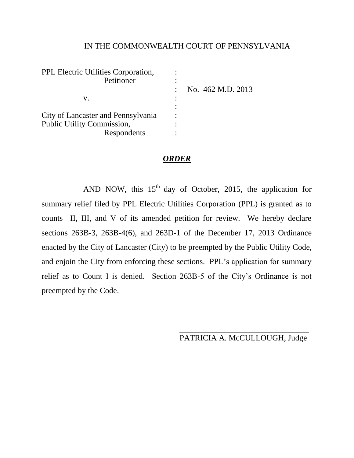## IN THE COMMONWEALTH COURT OF PENNSYLVANIA

| PPL Electric Utilities Corporation, |                   |
|-------------------------------------|-------------------|
| Petitioner                          |                   |
|                                     | No. 462 M.D. 2013 |
| V.                                  |                   |
|                                     |                   |
| City of Lancaster and Pennsylvania  |                   |
| Public Utility Commission,          |                   |
| Respondents                         |                   |

#### *ORDER*

AND NOW, this  $15<sup>th</sup>$  day of October, 2015, the application for summary relief filed by PPL Electric Utilities Corporation (PPL) is granted as to counts II, III, and V of its amended petition for review. We hereby declare sections 263B-3, 263B-4(6), and 263D-1 of the December 17, 2013 Ordinance enacted by the City of Lancaster (City) to be preempted by the Public Utility Code, and enjoin the City from enforcing these sections. PPL's application for summary relief as to Count I is denied. Section 263B-5 of the City's Ordinance is not preempted by the Code.

> \_\_\_\_\_\_\_\_\_\_\_\_\_\_\_\_\_\_\_\_\_\_\_\_\_\_\_\_\_\_\_\_ PATRICIA A. McCULLOUGH, Judge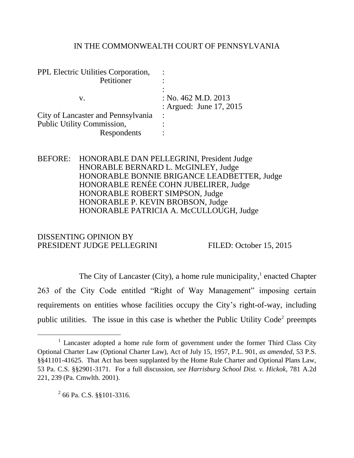#### IN THE COMMONWEALTH COURT OF PENNSYLVANIA

| PPL Electric Utilities Corporation,<br>Petitioner |                                                    |
|---------------------------------------------------|----------------------------------------------------|
|                                                   |                                                    |
| V.                                                | : No. $462$ M.D. $2013$<br>: Argued: June 17, 2015 |
| City of Lancaster and Pennsylvania                |                                                    |
| Public Utility Commission,                        |                                                    |
| Respondents                                       |                                                    |

BEFORE: HONORABLE DAN PELLEGRINI, President Judge HNORABLE BERNARD L. McGINLEY, Judge HONORABLE BONNIE BRIGANCE LEADBETTER, Judge HONORABLE RENÉE COHN JUBELIRER, Judge HONORABLE ROBERT SIMPSON, Judge HONORABLE P. KEVIN BROBSON, Judge HONORABLE PATRICIA A. McCULLOUGH, Judge

## DISSENTING OPINION BY PRESIDENT JUDGE PELLEGRINI FILED: October 15, 2015

The City of Lancaster (City), a home rule municipality, $\frac{1}{1}$  enacted Chapter 263 of the City Code entitled "Right of Way Management" imposing certain requirements on entities whose facilities occupy the City's right-of-way, including public utilities. The issue in this case is whether the Public Utility  $Code<sup>2</sup>$  preempts

<sup>&</sup>lt;sup>1</sup> Lancaster adopted a home rule form of government under the former Third Class City Optional Charter Law (Optional Charter Law), Act of July 15, 1957, P.L. 901, *as amended*, 53 P.S. §§41101-41625. That Act has been supplanted by the Home Rule Charter and Optional Plans Law, 53 Pa. C.S. §§2901-3171. For a full discussion, *see Harrisburg School Dist. v. Hickok,* 781 A.2d 221, 239 (Pa. Cmwlth. 2001).

 $^{2}$  66 Pa. C.S.  $\S$ §101-3316.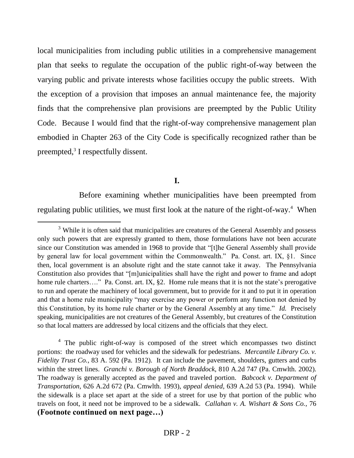local municipalities from including public utilities in a comprehensive management plan that seeks to regulate the occupation of the public right-of-way between the varying public and private interests whose facilities occupy the public streets. With the exception of a provision that imposes an annual maintenance fee, the majority finds that the comprehensive plan provisions are preempted by the Public Utility Code. Because I would find that the right-of-way comprehensive management plan embodied in Chapter 263 of the City Code is specifically recognized rather than be preempted,<sup>3</sup> I respectfully dissent.

## **I.**

Before examining whether municipalities have been preempted from regulating public utilities, we must first look at the nature of the right-of-way.<sup>4</sup> When

 $\overline{a}$ 

<sup>4</sup> The public right-of-way is composed of the street which encompasses two distinct portions: the roadway used for vehicles and the sidewalk for pedestrians. *Mercantile Library Co. v. Fidelity Trust Co.*, 83 A. 592 (Pa. 1912). It can include the pavement, shoulders, gutters and curbs within the street lines. *Granchi v. Borough of North Braddock*, 810 A.2d 747 (Pa. Cmwlth. 2002). The roadway is generally accepted as the paved and traveled portion. *Babcock v. Department of Transportation*, 626 A.2d 672 (Pa. Cmwlth. 1993), *appeal denied*, 639 A.2d 53 (Pa. 1994). While the sidewalk is a place set apart at the side of a street for use by that portion of the public who travels on foot, it need not be improved to be a sidewalk. *Callahan v. A. Wishart & Sons Co.*, 76 **(Footnote continued on next page…)**

 $3$  While it is often said that municipalities are creatures of the General Assembly and possess only such powers that are expressly granted to them, those formulations have not been accurate since our Constitution was amended in 1968 to provide that "[t]he General Assembly shall provide by general law for local government within the Commonwealth." Pa. Const. art. IX, §1. Since then, local government is an absolute right and the state cannot take it away. The Pennsylvania Constitution also provides that "[m]unicipalities shall have the right and power to frame and adopt home rule charters…." Pa. Const. art. IX, §2. Home rule means that it is not the state's prerogative to run and operate the machinery of local government, but to provide for it and to put it in operation and that a home rule municipality "may exercise any power or perform any function not denied by this Constitution, by its home rule charter or by the General Assembly at any time." *Id.* Precisely speaking, municipalities are not creatures of the General Assembly, but creatures of the Constitution so that local matters are addressed by local citizens and the officials that they elect.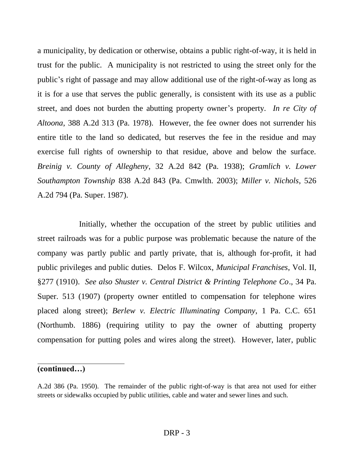a municipality, by dedication or otherwise, obtains a public right-of-way, it is held in trust for the public. A municipality is not restricted to using the street only for the public's right of passage and may allow additional use of the right-of-way as long as it is for a use that serves the public generally, is consistent with its use as a public street, and does not burden the abutting property owner's property. *In re City of Altoona*, 388 A.2d 313 (Pa. 1978). However, the fee owner does not surrender his entire title to the land so dedicated, but reserves the fee in the residue and may exercise full rights of ownership to that residue, above and below the surface. *Breinig v. County of Allegheny*, 32 A.2d 842 (Pa. 1938); *Gramlich v. Lower Southampton Township* 838 A.2d 843 (Pa. Cmwlth. 2003); *Miller v. Nichols*, 526 A.2d 794 (Pa. Super. 1987).

Initially, whether the occupation of the street by public utilities and street railroads was for a public purpose was problematic because the nature of the company was partly public and partly private, that is, although for-profit, it had public privileges and public duties. Delos F. Wilcox, *Municipal Franchises*, Vol. II, §277 (1910). *See also Shuster v. Central District & Printing Telephone Co*., 34 Pa. Super. 513 (1907) (property owner entitled to compensation for telephone wires placed along street); *Berlew v. Electric Illuminating Company*, 1 Pa. C.C. 651 (Northumb. 1886) (requiring utility to pay the owner of abutting property compensation for putting poles and wires along the street). However, later, public

## **(continued…)**

 $\overline{a}$ 

A.2d 386 (Pa. 1950). The remainder of the public right-of-way is that area not used for either streets or sidewalks occupied by public utilities, cable and water and sewer lines and such.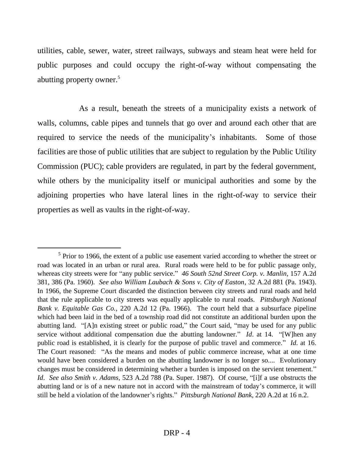utilities, cable, sewer, water, street railways, subways and steam heat were held for public purposes and could occupy the right-of-way without compensating the abutting property owner.<sup>5</sup>

As a result, beneath the streets of a municipality exists a network of walls, columns, cable pipes and tunnels that go over and around each other that are required to service the needs of the municipality's inhabitants. Some of those facilities are those of public utilities that are subject to regulation by the Public Utility Commission (PUC); cable providers are regulated, in part by the federal government, while others by the municipality itself or municipal authorities and some by the adjoining properties who have lateral lines in the right-of-way to service their properties as well as vaults in the right-of-way.

 $\overline{a}$ 

 $<sup>5</sup>$  Prior to 1966, the extent of a public use easement varied according to whether the street or</sup> road was located in an urban or rural area. Rural roads were held to be for public passage only, whereas city streets were for "any public service." *46 South 52nd Street Corp. v. Manlin*, 157 A.2d 381, 386 (Pa. 1960). *See also William Laubach & Sons v. City of Easton*, 32 A.2d 881 (Pa. 1943). In 1966, the Supreme Court discarded the distinction between city streets and rural roads and held that the rule applicable to city streets was equally applicable to rural roads. *Pittsburgh National Bank v. Equitable Gas Co.*, 220 A.2d 12 (Pa. 1966). The court held that a subsurface pipeline which had been laid in the bed of a township road did not constitute an additional burden upon the abutting land. "[A]n existing street or public road," the Court said, "may be used for any public service without additional compensation due the abutting landowner." *Id*. at 14. "[W]hen any public road is established, it is clearly for the purpose of public travel and commerce." *Id*. at 16. The Court reasoned: "As the means and modes of public commerce increase, what at one time would have been considered a burden on the abutting landowner is no longer so.... Evolutionary changes must be considered in determining whether a burden is imposed on the servient tenement." *Id*. *See also Smith v. Adams*, 523 A.2d 788 (Pa. Super. 1987). Of course, "[i]f a use obstructs the abutting land or is of a new nature not in accord with the mainstream of today's commerce, it will still be held a violation of the landowner's rights." *Pittsburgh National Bank*, 220 A.2d at 16 n.2.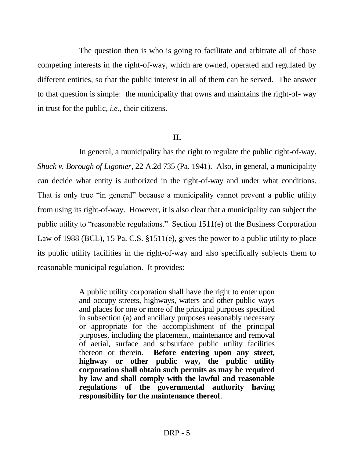The question then is who is going to facilitate and arbitrate all of those competing interests in the right-of-way, which are owned, operated and regulated by different entities, so that the public interest in all of them can be served. The answer to that question is simple: the municipality that owns and maintains the right-of- way in trust for the public, *i.e.*, their citizens.

## **II.**

In general, a municipality has the right to regulate the public right-of-way. *Shuck v. Borough of Ligonier*, 22 A.2d 735 (Pa. 1941). Also, in general, a municipality can decide what entity is authorized in the right-of-way and under what conditions. That is only true "in general" because a municipality cannot prevent a public utility from using its right-of-way. However, it is also clear that a municipality can subject the public utility to "reasonable regulations." Section 1511(e) of the Business Corporation Law of 1988 (BCL), 15 Pa. C.S. §1511(e), gives the power to a public utility to place its public utility facilities in the right-of-way and also specifically subjects them to reasonable municipal regulation. It provides:

> A public utility corporation shall have the right to enter upon and occupy streets, highways, waters and other public ways and places for one or more of the principal purposes specified in subsection (a) and ancillary purposes reasonably necessary or appropriate for the accomplishment of the principal purposes, including the placement, maintenance and removal of aerial, surface and subsurface public utility facilities thereon or therein. **Before entering upon any street, highway or other public way, the public utility corporation shall obtain such permits as may be required by law and shall comply with the lawful and reasonable regulations of the governmental authority having responsibility for the maintenance thereof**.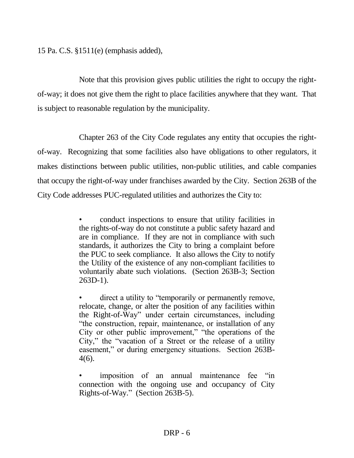15 Pa. C.S. §1511(e) (emphasis added),

Note that this provision gives public utilities the right to occupy the rightof-way; it does not give them the right to place facilities anywhere that they want. That is subject to reasonable regulation by the municipality.

Chapter 263 of the City Code regulates any entity that occupies the rightof-way. Recognizing that some facilities also have obligations to other regulators, it makes distinctions between public utilities, non-public utilities, and cable companies that occupy the right-of-way under franchises awarded by the City. Section 263B of the City Code addresses PUC-regulated utilities and authorizes the City to:

> • conduct inspections to ensure that utility facilities in the rights-of-way do not constitute a public safety hazard and are in compliance. If they are not in compliance with such standards, it authorizes the City to bring a complaint before the PUC to seek compliance. It also allows the City to notify the Utility of the existence of any non-compliant facilities to voluntarily abate such violations. (Section 263B-3; Section 263D-1).

> direct a utility to "temporarily or permanently remove, relocate, change, or alter the position of any facilities within the Right-of-Way" under certain circumstances, including "the construction, repair, maintenance, or installation of any City or other public improvement," "the operations of the City," the "vacation of a Street or the release of a utility easement," or during emergency situations. Section 263B-4(6).

> imposition of an annual maintenance fee "in connection with the ongoing use and occupancy of City Rights-of-Way." (Section 263B-5).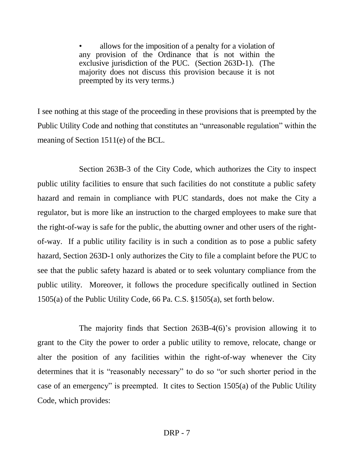• allows for the imposition of a penalty for a violation of any provision of the Ordinance that is not within the exclusive jurisdiction of the PUC. (Section 263D-1). (The majority does not discuss this provision because it is not preempted by its very terms.)

I see nothing at this stage of the proceeding in these provisions that is preempted by the Public Utility Code and nothing that constitutes an "unreasonable regulation" within the meaning of Section 1511(e) of the BCL.

Section 263B-3 of the City Code, which authorizes the City to inspect public utility facilities to ensure that such facilities do not constitute a public safety hazard and remain in compliance with PUC standards, does not make the City a regulator, but is more like an instruction to the charged employees to make sure that the right-of-way is safe for the public, the abutting owner and other users of the rightof-way. If a public utility facility is in such a condition as to pose a public safety hazard, Section 263D-1 only authorizes the City to file a complaint before the PUC to see that the public safety hazard is abated or to seek voluntary compliance from the public utility. Moreover, it follows the procedure specifically outlined in Section 1505(a) of the Public Utility Code, 66 Pa. C.S. §1505(a), set forth below.

The majority finds that Section 263B-4(6)'s provision allowing it to grant to the City the power to order a public utility to remove, relocate, change or alter the position of any facilities within the right-of-way whenever the City determines that it is "reasonably necessary" to do so "or such shorter period in the case of an emergency" is preempted. It cites to Section 1505(a) of the Public Utility Code, which provides: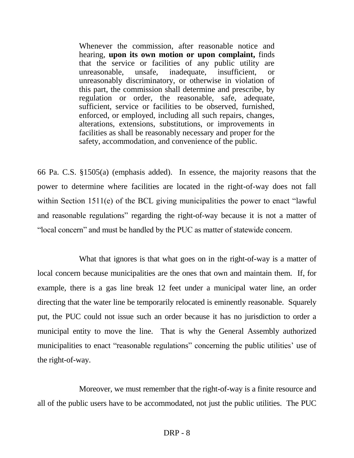Whenever the commission, after reasonable notice and hearing, **upon its own motion or upon complaint,** finds that the service or facilities of any public utility are unreasonable, unsafe, inadequate, insufficient, or unreasonably discriminatory, or otherwise in violation of this part, the commission shall determine and prescribe, by regulation or order, the reasonable, safe, adequate, sufficient, service or facilities to be observed, furnished, enforced, or employed, including all such repairs, changes, alterations, extensions, substitutions, or improvements in facilities as shall be reasonably necessary and proper for the safety, accommodation, and convenience of the public.

66 Pa. C.S. §1505(a) (emphasis added). In essence, the majority reasons that the power to determine where facilities are located in the right-of-way does not fall within Section 1511(e) of the BCL giving municipalities the power to enact "lawful" and reasonable regulations" regarding the right-of-way because it is not a matter of "local concern" and must be handled by the PUC as matter of statewide concern.

What that ignores is that what goes on in the right-of-way is a matter of local concern because municipalities are the ones that own and maintain them. If, for example, there is a gas line break 12 feet under a municipal water line, an order directing that the water line be temporarily relocated is eminently reasonable. Squarely put, the PUC could not issue such an order because it has no jurisdiction to order a municipal entity to move the line. That is why the General Assembly authorized municipalities to enact "reasonable regulations" concerning the public utilities' use of the right-of-way.

Moreover, we must remember that the right-of-way is a finite resource and all of the public users have to be accommodated, not just the public utilities. The PUC